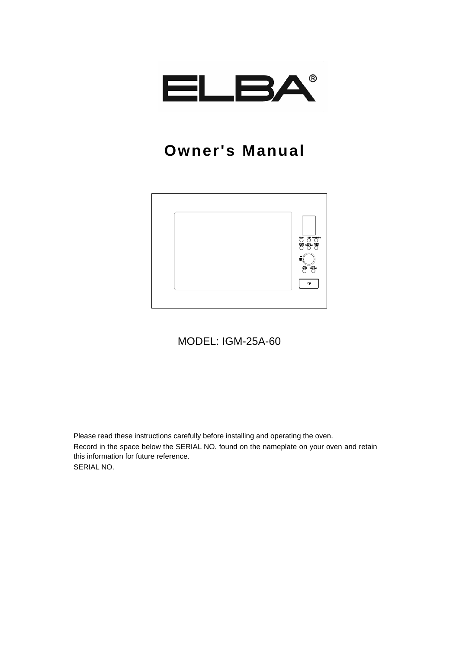

# **Owner's Manual**



MODEL: IGM-25A-60

Please read these instructions carefully before installing and operating the oven. Record in the space below the SERIAL NO. found on the nameplate on your oven and retain this information for future reference. SERIAL NO.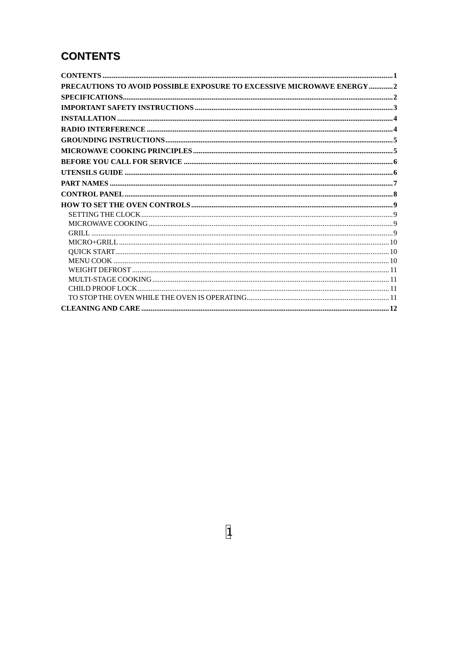# **CONTENTS**

| PRECAUTIONS TO AVOID POSSIBLE EXPOSURE TO EXCESSIVE MICROWAVE ENERGY 2 |  |
|------------------------------------------------------------------------|--|
|                                                                        |  |
|                                                                        |  |
|                                                                        |  |
|                                                                        |  |
|                                                                        |  |
|                                                                        |  |
|                                                                        |  |
|                                                                        |  |
|                                                                        |  |
|                                                                        |  |
|                                                                        |  |
|                                                                        |  |
|                                                                        |  |
|                                                                        |  |
|                                                                        |  |
|                                                                        |  |
|                                                                        |  |
|                                                                        |  |
|                                                                        |  |
|                                                                        |  |
|                                                                        |  |
|                                                                        |  |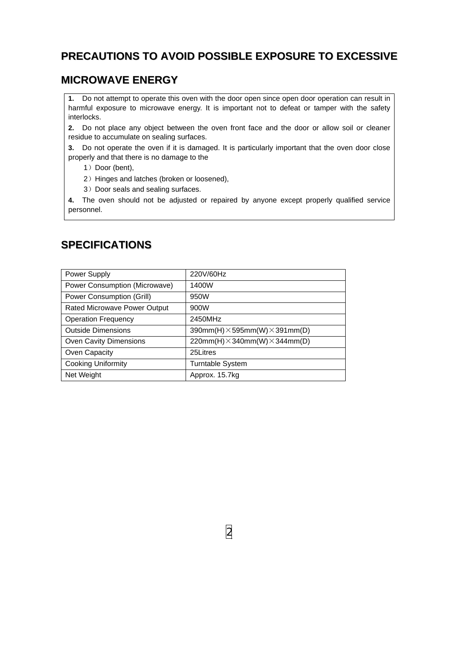### **PRECAUTIONS TO AVOID POSSIBLE EXPOSURE TO EXCESSIVE**

### **MICROWAVE ENERGY**

**1.** Do not attempt to operate this oven with the door open since open door operation can result in harmful exposure to microwave energy. It is important not to defeat or tamper with the safety interlocks.

**2.** Do not place any object between the oven front face and the door or allow soil or cleaner residue to accumulate on sealing surfaces.

**3.** Do not operate the oven if it is damaged. It is particularly important that the oven door close properly and that there is no damage to the

- 1) Door (bent),
- 2) Hinges and latches (broken or loosened),
- 3) Door seals and sealing surfaces.

**4.** The oven should not be adjusted or repaired by anyone except properly qualified service personnel.

### **SPECIFICATIONS**

| Power Supply                         | 220V/60Hz                                    |
|--------------------------------------|----------------------------------------------|
| <b>Power Consumption (Microwave)</b> | 1400W                                        |
| Power Consumption (Grill)            | 950W                                         |
| Rated Microwave Power Output         | 900W                                         |
| <b>Operation Frequency</b>           | 2450MHz                                      |
| <b>Outside Dimensions</b>            | 390mm(H) $\times$ 595mm(W) $\times$ 391mm(D) |
| Oven Cavity Dimensions               | 220mm(H) $\times$ 340mm(W) $\times$ 344mm(D) |
| Oven Capacity                        | 25Litres                                     |
| <b>Cooking Uniformity</b>            | Turntable System                             |
| Net Weight                           | Approx. 15.7kg                               |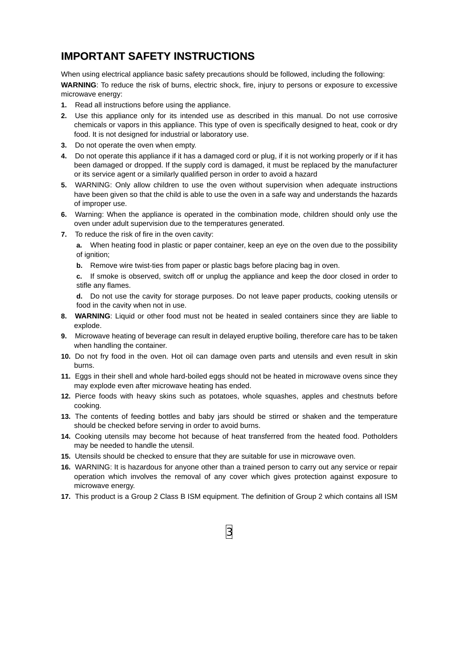### **IMPORTANT SAFETY INSTRUCTIONS**

When using electrical appliance basic safety precautions should be followed, including the following: **WARNING**: To reduce the risk of burns, electric shock, fire, injury to persons or exposure to excessive microwave energy:

- **1.** Read all instructions before using the appliance.
- **2.** Use this appliance only for its intended use as described in this manual. Do not use corrosive chemicals or vapors in this appliance. This type of oven is specifically designed to heat, cook or dry food. It is not designed for industrial or laboratory use.
- **3.** Do not operate the oven when empty.
- **4.** Do not operate this appliance if it has a damaged cord or plug, if it is not working properly or if it has been damaged or dropped. If the supply cord is damaged, it must be replaced by the manufacturer or its service agent or a similarly qualified person in order to avoid a hazard
- **5.** WARNING: Only allow children to use the oven without supervision when adequate instructions have been given so that the child is able to use the oven in a safe way and understands the hazards of improper use.
- **6.** Warning: When the appliance is operated in the combination mode, children should only use the oven under adult supervision due to the temperatures generated.
- **7.** To reduce the risk of fire in the oven cavity:

**a.** When heating food in plastic or paper container, keep an eye on the oven due to the possibility of ignition;

**b.** Remove wire twist-ties from paper or plastic bags before placing bag in oven.

**c.** If smoke is observed, switch off or unplug the appliance and keep the door closed in order to stifle any flames.

**d.** Do not use the cavity for storage purposes. Do not leave paper products, cooking utensils or food in the cavity when not in use.

- **8. WARNING**: Liquid or other food must not be heated in sealed containers since they are liable to explode.
- **9.** Microwave heating of beverage can result in delayed eruptive boiling, therefore care has to be taken when handling the container.
- **10.** Do not fry food in the oven. Hot oil can damage oven parts and utensils and even result in skin burns.
- **11.** Eggs in their shell and whole hard-boiled eggs should not be heated in microwave ovens since they may explode even after microwave heating has ended.
- **12.** Pierce foods with heavy skins such as potatoes, whole squashes, apples and chestnuts before cooking.
- **13.** The contents of feeding bottles and baby jars should be stirred or shaken and the temperature should be checked before serving in order to avoid burns.
- **14.** Cooking utensils may become hot because of heat transferred from the heated food. Potholders may be needed to handle the utensil.
- **15.** Utensils should be checked to ensure that they are suitable for use in microwave oven.
- **16.** WARNING: It is hazardous for anyone other than a trained person to carry out any service or repair operation which involves the removal of any cover which gives protection against exposure to microwave energy.
- **17.** This product is a Group 2 Class B ISM equipment. The definition of Group 2 which contains all ISM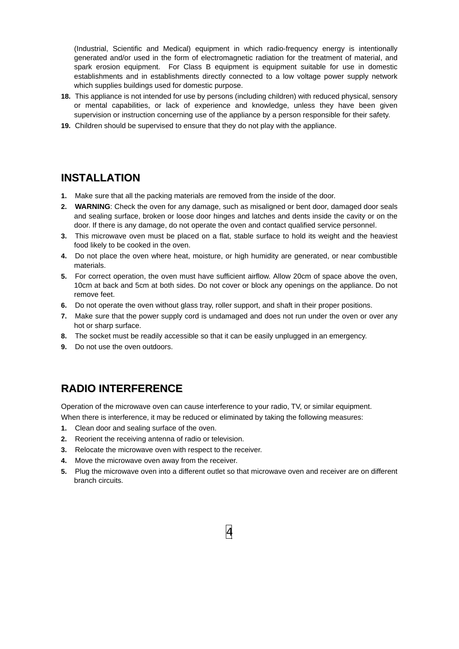(Industrial, Scientific and Medical) equipment in which radio-frequency energy is intentionally generated and/or used in the form of electromagnetic radiation for the treatment of material, and spark erosion equipment. For Class B equipment is equipment suitable for use in domestic establishments and in establishments directly connected to a low voltage power supply network which supplies buildings used for domestic purpose.

- **18.** This appliance is not intended for use by persons (including children) with reduced physical, sensory or mental capabilities, or lack of experience and knowledge, unless they have been given supervision or instruction concerning use of the appliance by a person responsible for their safety.
- **19.** Children should be supervised to ensure that they do not play with the appliance.

### **INSTALLATION**

- **1.** Make sure that all the packing materials are removed from the inside of the door.
- **2. WARNING**: Check the oven for any damage, such as misaligned or bent door, damaged door seals and sealing surface, broken or loose door hinges and latches and dents inside the cavity or on the door. If there is any damage, do not operate the oven and contact qualified service personnel.
- **3.** This microwave oven must be placed on a flat, stable surface to hold its weight and the heaviest food likely to be cooked in the oven.
- **4.** Do not place the oven where heat, moisture, or high humidity are generated, or near combustible materials.
- **5.** For correct operation, the oven must have sufficient airflow. Allow 20cm of space above the oven, 10cm at back and 5cm at both sides. Do not cover or block any openings on the appliance. Do not remove feet.
- **6.** Do not operate the oven without glass tray, roller support, and shaft in their proper positions.
- **7.** Make sure that the power supply cord is undamaged and does not run under the oven or over any hot or sharp surface.
- **8.** The socket must be readily accessible so that it can be easily unplugged in an emergency.
- **9.** Do not use the oven outdoors.

### **RADIO INTERFERENCE**

Operation of the microwave oven can cause interference to your radio, TV, or similar equipment. When there is interference, it may be reduced or eliminated by taking the following measures:

- **1.** Clean door and sealing surface of the oven.
- **2.** Reorient the receiving antenna of radio or television.
- **3.** Relocate the microwave oven with respect to the receiver.
- **4.** Move the microwave oven away from the receiver.
- **5.** Plug the microwave oven into a different outlet so that microwave oven and receiver are on different branch circuits.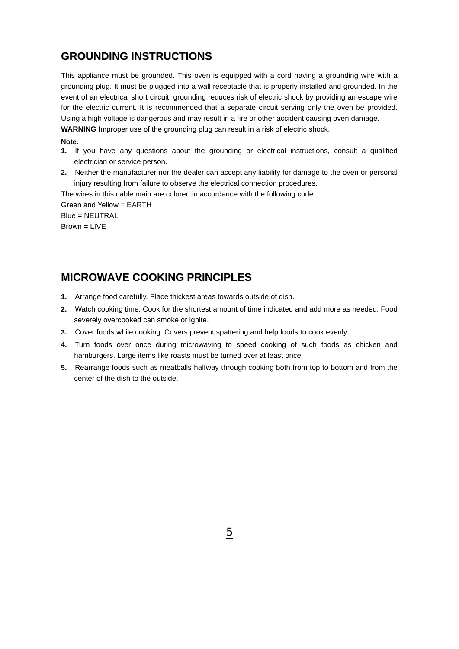### **GROUNDING INSTRUCTIONS**

This appliance must be grounded. This oven is equipped with a cord having a grounding wire with a grounding plug. It must be plugged into a wall receptacle that is properly installed and grounded. In the event of an electrical short circuit, grounding reduces risk of electric shock by providing an escape wire for the electric current. It is recommended that a separate circuit serving only the oven be provided. Using a high voltage is dangerous and may result in a fire or other accident causing oven damage. **WARNING** Improper use of the grounding plug can result in a risk of electric shock.

#### **Note:**

- **1.** If you have any questions about the grounding or electrical instructions, consult a qualified electrician or service person.
- **2.** Neither the manufacturer nor the dealer can accept any liability for damage to the oven or personal injury resulting from failure to observe the electrical connection procedures.

The wires in this cable main are colored in accordance with the following code: Green and Yellow = EARTH Blue = NEUTRAL Brown = LIVE

### **MICROWAVE COOKING PRINCIPLES**

- **1.** Arrange food carefully. Place thickest areas towards outside of dish.
- **2.** Watch cooking time. Cook for the shortest amount of time indicated and add more as needed. Food severely overcooked can smoke or ignite.
- **3.** Cover foods while cooking. Covers prevent spattering and help foods to cook evenly.
- **4.** Turn foods over once during microwaving to speed cooking of such foods as chicken and hamburgers. Large items like roasts must be turned over at least once.
- **5.** Rearrange foods such as meatballs halfway through cooking both from top to bottom and from the center of the dish to the outside.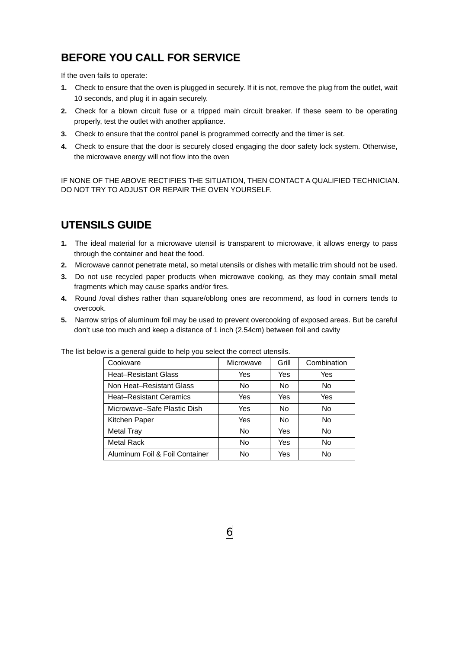# **BEFORE YOU CALL FOR SERVICE**

If the oven fails to operate:

- **1.** Check to ensure that the oven is plugged in securely. If it is not, remove the plug from the outlet, wait 10 seconds, and plug it in again securely.
- **2.** Check for a blown circuit fuse or a tripped main circuit breaker. If these seem to be operating properly, test the outlet with another appliance.
- **3.** Check to ensure that the control panel is programmed correctly and the timer is set.
- **4.** Check to ensure that the door is securely closed engaging the door safety lock system. Otherwise, the microwave energy will not flow into the oven

IF NONE OF THE ABOVE RECTIFIES THE SITUATION, THEN CONTACT A QUALIFIED TECHNICIAN. DO NOT TRY TO ADJUST OR REPAIR THE OVEN YOURSELF.

### **UTENSILS GUIDE**

- **1.** The ideal material for a microwave utensil is transparent to microwave, it allows energy to pass through the container and heat the food.
- **2.** Microwave cannot penetrate metal, so metal utensils or dishes with metallic trim should not be used.
- **3.** Do not use recycled paper products when microwave cooking, as they may contain small metal fragments which may cause sparks and/or fires.
- **4.** Round /oval dishes rather than square/oblong ones are recommend, as food in corners tends to overcook.
- **5.** Narrow strips of aluminum foil may be used to prevent overcooking of exposed areas. But be careful don't use too much and keep a distance of 1 inch (2.54cm) between foil and cavity

| v is a general guide to neip you select the correct diensiis. |           |       |                |
|---------------------------------------------------------------|-----------|-------|----------------|
| Cookware                                                      | Microwave | Grill | Combination    |
| <b>Heat-Resistant Glass</b>                                   | Yes       | Yes   | Yes            |
| Non Heat-Resistant Glass                                      | No.       | No    | N <sub>o</sub> |
| <b>Heat-Resistant Ceramics</b>                                | Yes       | Yes   | Yes            |
| Microwave-Safe Plastic Dish                                   | Yes       | No.   | N <sub>o</sub> |
| Kitchen Paper                                                 | Yes       | No.   | No             |
| <b>Metal Tray</b>                                             | No.       | Yes   | No             |
| <b>Metal Rack</b>                                             | <b>No</b> | Yes   | No             |
| Aluminum Foil & Foil Container                                | No        | Yes   | No             |

The list below is a general quide to help you select the correct utensils.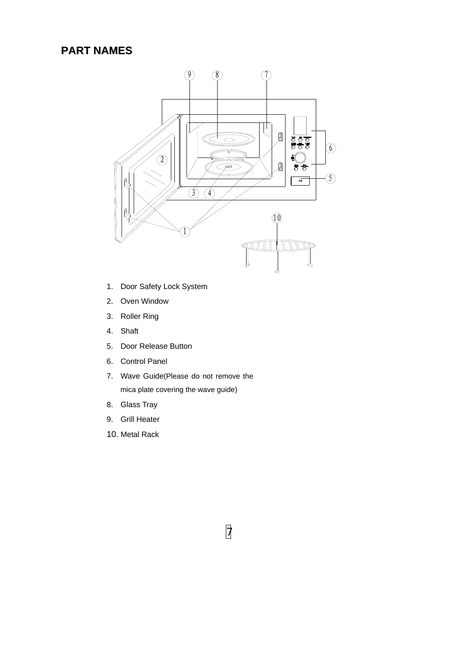### **PART NAMES**



- 1. Door Safety Lock System
- 2. Oven Window
- 3. Roller Ring
- 4. Shaft
- 5. Door Release Button
- 6. Control Panel
- 7. Wave Guide(Please do not remove the mica plate covering the wave guide)
- 8. Glass Tray
- 9. Grill Heater
- 10. Metal Rack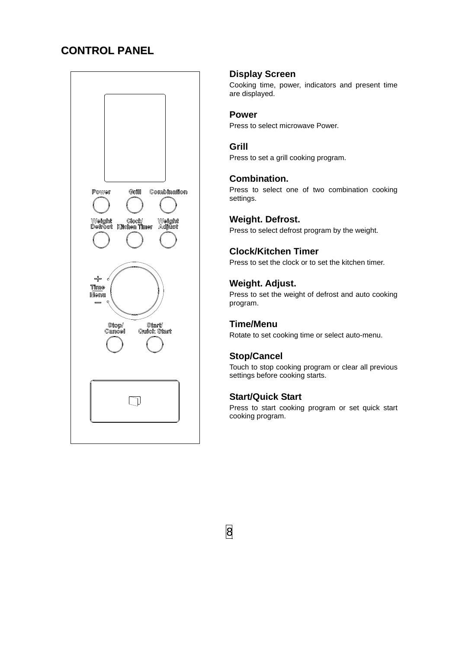### **CONTROL PANEL**



#### **Display Screen**

Cooking time, power, indicators and present time are displayed.

#### **Power**

Press to select microwave Power.

#### **Grill**

Press to set a grill cooking program.

#### **Combination.**

Press to select one of two combination cooking settings.

#### **Weight. Defrost.**

Press to select defrost program by the weight.

#### **Clock/Kitchen Timer**

Press to set the clock or to set the kitchen timer.

#### **Weight. Adjust.**

Press to set the weight of defrost and auto cooking program.

#### **Time/Menu**

Rotate to set cooking time or select auto-menu.

#### **Stop/Cancel**

Touch to stop cooking program or clear all previous settings before cooking starts.

#### **Start/Quick Start**

Press to start cooking program or set quick start cooking program.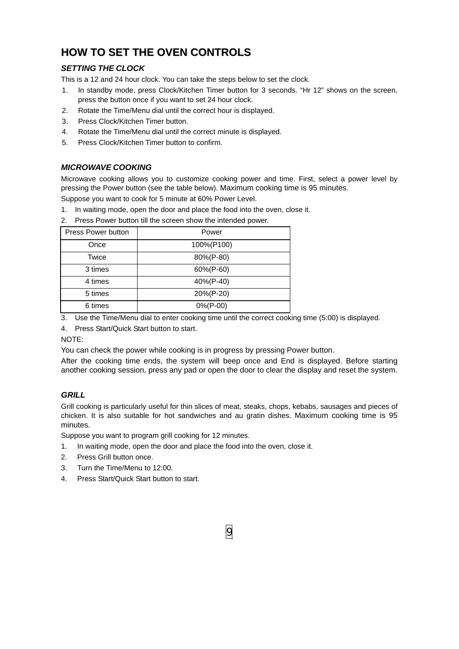## **HOW TO SET THE OVEN CONTROLS**

#### *SETTING THE CLOCK*

This is a 12 and 24 hour clock. You can take the steps below to set the clock.

- 1. In standby mode, press Clock/Kitchen Timer button for 3 seconds. "Hr 12" shows on the screen, press the button once if you want to set 24 hour clock.
- 2. Rotate the Time/Menu dial until the correct hour is displayed.
- 3. Press Clock/Kitchen Timer button.
- 4. Rotate the Time/Menu dial until the correct minute is displayed.
- 5. Press Clock/Kitchen Timer button to confirm.

#### *MICROWAVE COOKING*

Microwave cooking allows you to customize cooking power and time. First, select a power level by pressing the Power button (see the table below). Maximum cooking time is 95 minutes.

Suppose you want to cook for 5 minute at 60% Power Level.

1. In waiting mode, open the door and place the food into the oven, close it.

2. Press Power button till the screen show the intended power.

| Press Power button | Power        |
|--------------------|--------------|
| Once               | 100%(P100)   |
| Twice              | 80%(P-80)    |
| 3 times            | 60%(P-60)    |
| 4 times            | 40%(P-40)    |
| 5 times            | 20%(P-20)    |
| 6 times            | $0\%$ (P-00) |

3. Use the Time/Menu dial to enter cooking time until the correct cooking time (5:00) is displayed.

4. Press Start/Quick Start button to start.

NOTE:

You can check the power while cooking is in progress by pressing Power button.

After the cooking time ends, the system will beep once and End is displayed. Before starting another cooking session, press any pad or open the door to clear the display and reset the system.

#### *GRILL*

Grill cooking is particularly useful for thin slices of meat, steaks, chops, kebabs, sausages and pieces of chicken. It is also suitable for hot sandwiches and au gratin dishes. Maximum cooking time is 95 minutes.

Suppose you want to program grill cooking for 12 minutes.

- 1. In waiting mode, open the door and place the food into the oven, close it.
- 2. Press Grill button once.
- 3. Turn the Time/Menu to 12:00.
- 4. Press Start/Quick Start button to start.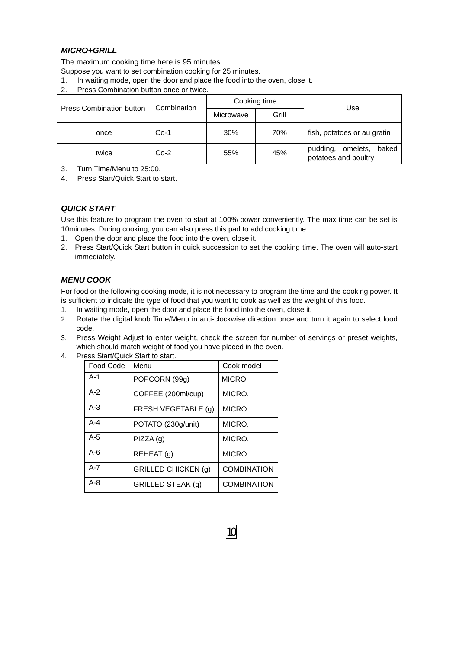#### *MICRO+GRILL*

The maximum cooking time here is 95 minutes.

Suppose you want to set combination cooking for 25 minutes.

- 1. In waiting mode, open the door and place the food into the oven, close it.
- 2. Press Combination button once or twice.

|                                 | Combination | Cooking time |       | Use                                                   |
|---------------------------------|-------------|--------------|-------|-------------------------------------------------------|
| <b>Press Combination button</b> |             | Microwave    | Grill |                                                       |
| once                            | $Co-1$      | 30%          | 70%   | fish, potatoes or au gratin                           |
| twice                           | $Co-2$      | 55%          | 45%   | pudding,<br>baked<br>omelets,<br>potatoes and poultry |

3. Turn Time/Menu to 25:00.

4. Press Start/Quick Start to start.

#### *QUICK START*

Use this feature to program the oven to start at 100% power conveniently. The max time can be set is 10minutes. During cooking, you can also press this pad to add cooking time.

- 1. Open the door and place the food into the oven, close it.
- 2. Press Start/Quick Start button in quick succession to set the cooking time. The oven will auto-start immediately.

#### *MENU COOK*

For food or the following cooking mode, it is not necessary to program the time and the cooking power. It is sufficient to indicate the type of food that you want to cook as well as the weight of this food.

- 1. In waiting mode, open the door and place the food into the oven, close it.
- 2. Rotate the digital knob Time/Menu in anti-clockwise direction once and turn it again to select food code.
- 3. Press Weight Adjust to enter weight, check the screen for number of servings or preset weights, which should match weight of food you have placed in the oven.

| Food Code | Menu                       | Cook model         |
|-----------|----------------------------|--------------------|
| $A-1$     | POPCORN (99g)              | MICRO.             |
| $A-2$     | COFFEE (200ml/cup)         | MICRO.             |
| $A-3$     | FRESH VEGETABLE (g)        | MICRO.             |
| $A - 4$   | POTATO (230g/unit)         | MICRO.             |
| $A-5$     | PIZZA(g)                   | MICRO.             |
| $A-6$     | REHEAT(q)                  | MICRO.             |
| $A - 7$   | <b>GRILLED CHICKEN (g)</b> | <b>COMBINATION</b> |
| $A - 8$   | GRILLED STEAK (g)          | <b>COMBINATION</b> |

4. Press Start/Quick Start to start.

10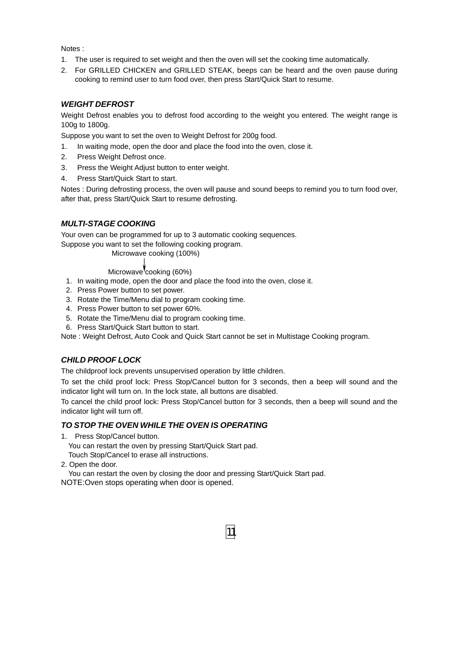Notes :

- 1. The user is required to set weight and then the oven will set the cooking time automatically.
- 2. For GRILLED CHICKEN and GRILLED STEAK, beeps can be heard and the oven pause during cooking to remind user to turn food over, then press Start/Quick Start to resume.

#### *WEIGHT DEFROST*

Weight Defrost enables you to defrost food according to the weight you entered. The weight range is 100g to 1800g.

Suppose you want to set the oven to Weight Defrost for 200g food.

- 1. In waiting mode, open the door and place the food into the oven, close it.
- 2. Press Weight Defrost once.
- 3. Press the Weight Adjust button to enter weight.
- 4. Press Start/Quick Start to start.

Notes : During defrosting process, the oven will pause and sound beeps to remind you to turn food over, after that, press Start/Quick Start to resume defrosting.

#### *MULTI-STAGE COOKING*

Your oven can be programmed for up to 3 automatic cooking sequences.

Suppose you want to set the following cooking program.

#### Microwave cooking (100%)

#### Microwave cooking (60%)

- 1. In waiting mode, open the door and place the food into the oven, close it.
- 2. Press Power button to set power.
- 3. Rotate the Time/Menu dial to program cooking time.
- 4. Press Power button to set power 60%.
- 5. Rotate the Time/Menu dial to program cooking time.
- 6. Press Start/Quick Start button to start.

Note : Weight Defrost, Auto Cook and Quick Start cannot be set in Multistage Cooking program.

#### *CHILD PROOF LOCK*

The childproof lock prevents unsupervised operation by little children.

To set the child proof lock: Press Stop/Cancel button for 3 seconds, then a beep will sound and the indicator light will turn on. In the lock state, all buttons are disabled.

To cancel the child proof lock: Press Stop/Cancel button for 3 seconds, then a beep will sound and the indicator light will turn off.

#### *TO STOP THE OVEN WHILE THE OVEN IS OPERATING*

1. Press Stop/Cancel button.

 You can restart the oven by pressing Start/Quick Start pad. Touch Stop/Cancel to erase all instructions.

2. Open the door.

 You can restart the oven by closing the door and pressing Start/Quick Start pad. NOTE:Oven stops operating when door is opened.